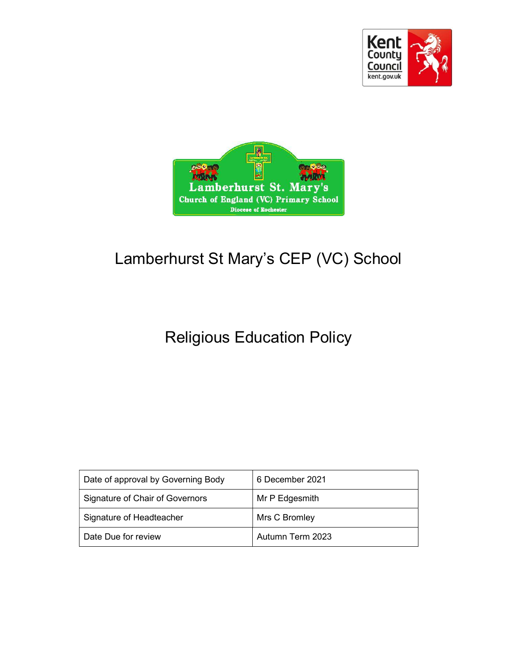



# Lamberhurst St Mary's CEP (VC) School

# Religious Education Policy

| Date of approval by Governing Body | 6 December 2021  |
|------------------------------------|------------------|
| Signature of Chair of Governors    | Mr P Edgesmith   |
| Signature of Headteacher           | Mrs C Bromley    |
| Date Due for review                | Autumn Term 2023 |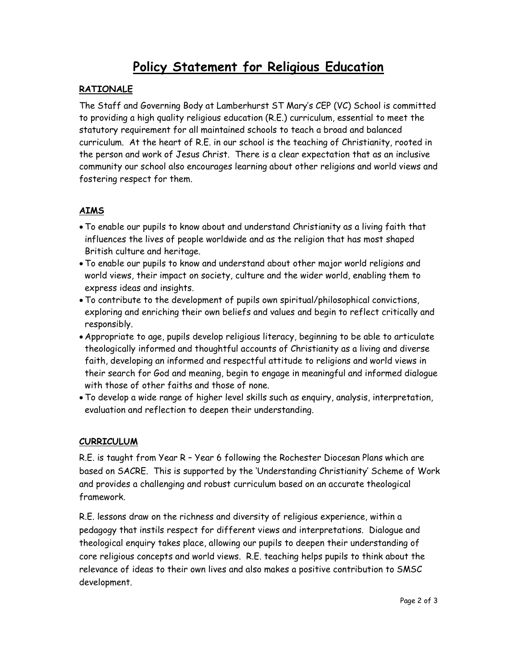## Policy Statement for Religious Education

#### RATIONALE

The Staff and Governing Body at Lamberhurst ST Mary's CEP (VC) School is committed to providing a high quality religious education (R.E.) curriculum, essential to meet the statutory requirement for all maintained schools to teach a broad and balanced curriculum. At the heart of R.E. in our school is the teaching of Christianity, rooted in the person and work of Jesus Christ. There is a clear expectation that as an inclusive community our school also encourages learning about other religions and world views and fostering respect for them.

#### AIMS

- To enable our pupils to know about and understand Christianity as a living faith that influences the lives of people worldwide and as the religion that has most shaped British culture and heritage.
- To enable our pupils to know and understand about other major world religions and world views, their impact on society, culture and the wider world, enabling them to express ideas and insights.
- To contribute to the development of pupils own spiritual/philosophical convictions, exploring and enriching their own beliefs and values and begin to reflect critically and responsibly.
- Appropriate to age, pupils develop religious literacy, beginning to be able to articulate theologically informed and thoughtful accounts of Christianity as a living and diverse faith, developing an informed and respectful attitude to religions and world views in their search for God and meaning, begin to engage in meaningful and informed dialogue with those of other faiths and those of none.
- To develop a wide range of higher level skills such as enquiry, analysis, interpretation, evaluation and reflection to deepen their understanding.

#### CURRICULUM

R.E. is taught from Year R – Year 6 following the Rochester Diocesan Plans which are based on SACRE. This is supported by the 'Understanding Christianity' Scheme of Work and provides a challenging and robust curriculum based on an accurate theological framework.

R.E. lessons draw on the richness and diversity of religious experience, within a pedagogy that instils respect for different views and interpretations. Dialogue and theological enquiry takes place, allowing our pupils to deepen their understanding of core religious concepts and world views. R.E. teaching helps pupils to think about the relevance of ideas to their own lives and also makes a positive contribution to SMSC development.